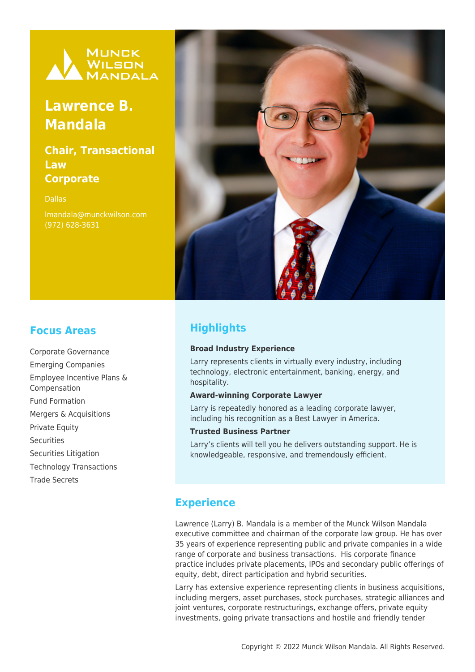

# **Lawrence B. Mandala**

## **Chair, Transactional Law Corporate**

Dallas

lmandala@munckwilson.com (972) 628-3631



## **Focus Areas**

Corporate Governance Emerging Companies Employee Incentive Plans & Compensation Fund Formation Mergers & Acquisitions Private Equity **Securities** Securities Litigation Technology Transactions Trade Secrets

# **Highlights**

#### **Broad Industry Experience**

Larry represents clients in virtually every industry, including technology, electronic entertainment, banking, energy, and hospitality.

#### **Award-winning Corporate Lawyer**

Larry is repeatedly honored as a leading corporate lawyer, including his recognition as a Best Lawyer in America.

#### **Trusted Business Partner**

Larry's clients will tell you he delivers outstanding support. He is knowledgeable, responsive, and tremendously efficient.

### **Experience**

Lawrence (Larry) B. Mandala is a member of the Munck Wilson Mandala executive committee and chairman of the corporate law group. He has over 35 years of experience representing public and private companies in a wide range of corporate and business transactions. His corporate finance practice includes private placements, IPOs and secondary public offerings of equity, debt, direct participation and hybrid securities.

Larry has extensive experience representing clients in business acquisitions, including mergers, asset purchases, stock purchases, strategic alliances and joint ventures, corporate restructurings, exchange offers, private equity investments, going private transactions and hostile and friendly tender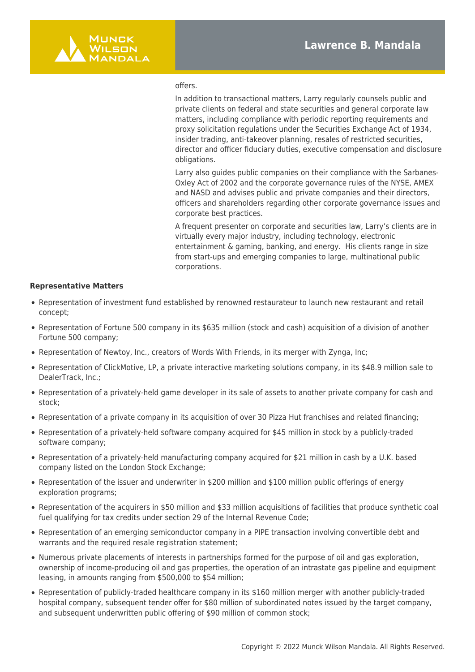

#### offers.

In addition to transactional matters, Larry regularly counsels public and private clients on federal and state securities and general corporate law matters, including compliance with periodic reporting requirements and proxy solicitation regulations under the Securities Exchange Act of 1934, insider trading, anti-takeover planning, resales of restricted securities, director and officer fiduciary duties, executive compensation and disclosure obligations.

Larry also guides public companies on their compliance with the Sarbanes-Oxley Act of 2002 and the corporate governance rules of the NYSE, AMEX and NASD and advises public and private companies and their directors, officers and shareholders regarding other corporate governance issues and corporate best practices.

A frequent presenter on corporate and securities law, Larry's clients are in virtually every major industry, including technology, electronic entertainment & gaming, banking, and energy. His clients range in size from start-ups and emerging companies to large, multinational public corporations.

#### **Representative Matters**

- Representation of investment fund established by renowned restaurateur to launch new restaurant and retail concept;
- Representation of Fortune 500 company in its \$635 million (stock and cash) acquisition of a division of another Fortune 500 company;
- Representation of Newtoy, Inc., creators of Words With Friends, in its merger with Zynga, Inc;
- Representation of ClickMotive, LP, a private interactive marketing solutions company, in its \$48.9 million sale to DealerTrack, Inc.;
- Representation of a privately-held game developer in its sale of assets to another private company for cash and stock;
- Representation of a private company in its acquisition of over 30 Pizza Hut franchises and related financing;
- Representation of a privately-held software company acquired for \$45 million in stock by a publicly-traded software company;
- Representation of a privately-held manufacturing company acquired for \$21 million in cash by a U.K. based company listed on the London Stock Exchange;
- Representation of the issuer and underwriter in \$200 million and \$100 million public offerings of energy exploration programs;
- Representation of the acquirers in \$50 million and \$33 million acquisitions of facilities that produce synthetic coal fuel qualifying for tax credits under section 29 of the Internal Revenue Code;
- Representation of an emerging semiconductor company in a PIPE transaction involving convertible debt and warrants and the required resale registration statement;
- Numerous private placements of interests in partnerships formed for the purpose of oil and gas exploration, ownership of income-producing oil and gas properties, the operation of an intrastate gas pipeline and equipment leasing, in amounts ranging from \$500,000 to \$54 million;
- Representation of publicly-traded healthcare company in its \$160 million merger with another publicly-traded hospital company, subsequent tender offer for \$80 million of subordinated notes issued by the target company, and subsequent underwritten public offering of \$90 million of common stock;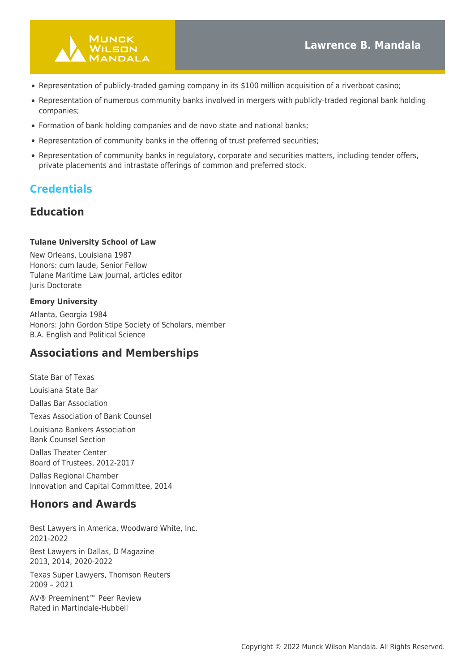

- Representation of publicly-traded gaming company in its \$100 million acquisition of a riverboat casino;
- Representation of numerous community banks involved in mergers with publicly-traded regional bank holding companies;
- Formation of bank holding companies and de novo state and national banks;
- Representation of community banks in the offering of trust preferred securities;
- Representation of community banks in regulatory, corporate and securities matters, including tender offers, private placements and intrastate offerings of common and preferred stock.

### **Credentials**

### **Education**

#### **Tulane University School of Law**

New Orleans, Louisiana 1987 Honors: cum laude, Senior Fellow Tulane Maritime Law Journal, articles editor Juris Doctorate

#### **Emory University**

Atlanta, Georgia 1984 Honors: John Gordon Stipe Society of Scholars, member B.A. English and Political Science

### **Associations and Memberships**

State Bar of Texas

Louisiana State Bar

Dallas Bar Association

Texas Association of Bank Counsel

Louisiana Bankers Association Bank Counsel Section

Dallas Theater Center Board of Trustees, 2012-2017

Dallas Regional Chamber Innovation and Capital Committee, 2014

### **Honors and Awards**

Best Lawyers in America, Woodward White, Inc. 2021-2022

Best Lawyers in Dallas, D Magazine 2013, 2014, 2020-2022

Texas Super Lawyers, Thomson Reuters 2009 – 2021

AV® Preeminent™ Peer Review Rated in Martindale-Hubbell